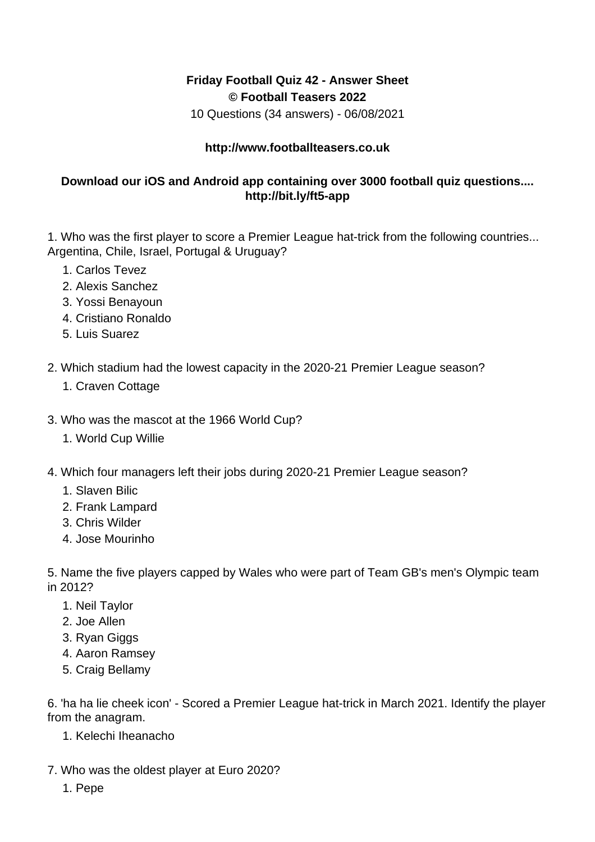## **Friday Football Quiz 42 - Answer Sheet © Football Teasers 2022**

10 Questions (34 answers) - 06/08/2021

## **http://www.footballteasers.co.uk**

## **Download our iOS and Android app containing over 3000 football quiz questions.... http://bit.ly/ft5-app**

1. Who was the first player to score a Premier League hat-trick from the following countries... Argentina, Chile, Israel, Portugal & Uruguay?

- 1. Carlos Tevez
- 2. Alexis Sanchez
- 3. Yossi Benayoun
- 4. Cristiano Ronaldo
- 5. Luis Suarez
- 2. Which stadium had the lowest capacity in the 2020-21 Premier League season?
	- 1. Craven Cottage
- 3. Who was the mascot at the 1966 World Cup?
	- 1. World Cup Willie
- 4. Which four managers left their jobs during 2020-21 Premier League season?
	- 1. Slaven Bilic
	- 2. Frank Lampard
	- 3. Chris Wilder
	- 4. Jose Mourinho

5. Name the five players capped by Wales who were part of Team GB's men's Olympic team in 2012?

- 1. Neil Taylor
- 2. Joe Allen
- 3. Ryan Giggs
- 4. Aaron Ramsey
- 5. Craig Bellamy

6. 'ha ha lie cheek icon' - Scored a Premier League hat-trick in March 2021. Identify the player from the anagram.

- 1. Kelechi Iheanacho
- 7. Who was the oldest player at Euro 2020?
	- 1. Pepe